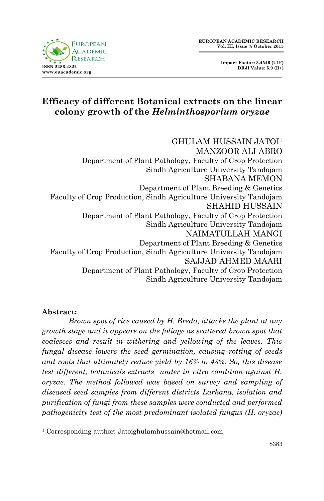

# **Efficacy of different Botanical extracts on the linear colony growth of the** *Helminthosporium oryzae*

GHULAM HUSSAIN JATOI<sup>1</sup> MANZOOR ALI ABRO Department of Plant Pathology, Faculty of Crop Protection Sindh Agriculture University Tandojam SHABANA MEMON Department of Plant Breeding & Genetics Faculty of Crop Production, Sindh Agriculture University Tandojam SHAHID HUSSAIN Department of Plant Pathology, Faculty of Crop Protection Sindh Agriculture University Tandojam NAIMATULLAH MANGI Department of Plant Breeding & Genetics Faculty of Crop Production, Sindh Agriculture University Tandojam SAJJAD AHMED MAARI Department of Plant Pathology, Faculty of Crop Protection Sindh Agriculture University Tandojam

#### **Abstract:**

1

*Brown spot of rice caused by H. Breda, attacks the plant at any growth stage and it appears on the foliage as scattered brown spot that coalesces and result in withering and yellowing of the leaves. This fungal disease lowers the seed germination, causing rotting of seeds and roots that ultimately reduce yield by 16% to 43%. So, this disease test different, botanicals extracts under in vitro condition against H. oryzae. The method followed was based on survey and sampling of diseased seed samples from different districts Larkana, isolation and purification of fungi from these samples were conducted and performed pathogenicity test of the most predominant isolated fungus (H. oryzae)* 

<sup>1</sup> Corresponding author: Jatoighulamhussain@hotmail.com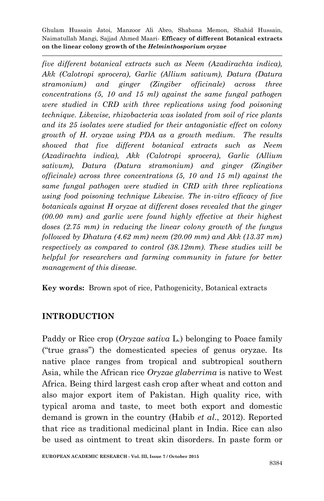*five different botanical extracts such as Neem (Azadirachta indica), Akk (Calotropi sprocera), Garlic (Allium sativum), Datura (Datura stramonium) and ginger (Zingiber officinale) across three concentrations (5, 10 and 15 ml) against the same fungal pathogen were studied in CRD with three replications using food poisoning technique. Likewise, rhizobacteria was isolated from soil of rice plants and its 25 isolates were studied for their antagonistic effect on colony growth of H. oryzae using PDA as a growth medium. The results showed that five different botanical extracts such as Neem (Azadirachta indica), Akk (Calotropi sprocera), Garlic (Allium sativum), Datura (Datura stramonium) and ginger (Zingiber officinale) across three concentrations (5, 10 and 15 ml) against the same fungal pathogen were studied in CRD with three replications using food poisoning technique Likewise. The in-vitro efficacy of five botanicals against H oryzae at different doses revealed that the ginger (00.00 mm) and garlic were found highly effective at their highest doses (2.75 mm) in reducing the linear colony growth of the fungus followed by Dhatura (4.62 mm) neem (20.00 mm) and Akk (13.37 mm) respectively as compared to control (38.12mm). These studies will be helpful for researchers and farming community in future for better management of this disease.*

**Key words:** Brown spot of rice, Pathogenicity, Botanical extracts

### **INTRODUCTION**

Paddy or Rice crop (*Oryzae sativa* L*.*) belonging to Poace family ("true grass") the domesticated species of genus oryzae*.* Its native place ranges from tropical and subtropical southern Asia, while the African rice *Oryzae glaberrima* is native to West Africa. Being third largest cash crop after wheat and cotton and also major export item of Pakistan. High quality rice, with typical aroma and taste, to meet both export and domestic demand is grown in the country (Habib *et al*., 2012). Reported that rice as traditional medicinal plant in India. Rice can also be used as ointment to treat skin disorders. In paste form or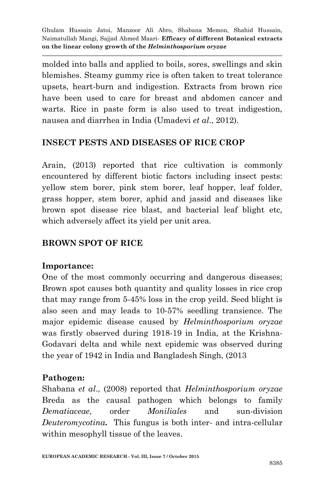molded into balls and applied to boils, sores, swellings and skin blemishes. Steamy gummy rice is often taken to treat tolerance upsets, heart-burn and indigestion. Extracts from brown rice have been used to care for breast and abdomen cancer and warts. Rice in paste form is also used to treat indigestion, nausea and diarrhea in India (Umadevi *et al*., 2012).

#### **INSECT PESTS AND DISEASES OF RICE CROP**

Arain, (2013) reported that rice cultivation is commonly encountered by different biotic factors including insect pests: yellow stem borer, pink stem borer, leaf hopper, leaf folder, grass hopper, stem borer, aphid and jassid and diseases like brown spot disease rice blast, and bacterial leaf blight etc*,* which adversely affect its yield per unit area.

#### **BROWN SPOT OF RICE**

#### **Importance:**

One of the most commonly occurring and dangerous diseases; Brown spot causes both quantity and quality losses in rice crop that may range from 5-45% loss in the crop yeild. Seed blight is also seen and may leads to 10-57% seedling transience. The major epidemic disease caused by *Helminthosporium oryzae* was firstly observed during 1918-19 in India, at the Krishna-Godavari delta and while next epidemic was observed during the year of 1942 in India and Bangladesh Singh, (2013

#### **Pathogen:**

Shabana *et al*., (2008) reported that *Helminthosporium oryzae*  Breda as the causal pathogen which belongs to family *Dematiaceae*, order *Moniliales* and sun-division *Deuteromycotina***.** This fungus is both inter- and intra-cellular within mesophyll tissue of the leaves.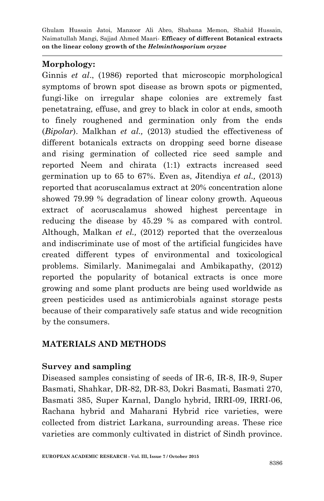## **Morphology:**

Ginnis *et al*., (1986) reported that microscopic morphological symptoms of brown spot disease as brown spots or pigmented, fungi-like on irregular shape colonies are extremely fast penetatraing, effuse, and grey to black in color at ends, smooth to finely roughened and germination only from the ends (*Bipolar*). Malkhan *et al.,* (2013) studied the effectiveness of different botanicals extracts on dropping seed borne disease and rising germination of collected rice seed sample and reported Neem and chirata (1:1) extracts increased seed germination up to 65 to 67%. Even as, Jitendiya *et al.,* (2013) reported that acoruscalamus extract at 20% concentration alone showed 79.99 % degradation of linear colony growth. Aqueous extract of acoruscalamus showed highest percentage in reducing the disease by 45.29 % as compared with control. Although, Malkan *et el.,* (2012) reported that the overzealous and indiscriminate use of most of the artificial fungicides have created different types of environmental and toxicological problems. Similarly. Manimegalai and Ambikapathy, (2012) reported the popularity of botanical extracts is once more growing and some plant products are being used worldwide as green pesticides used as antimicrobials against storage pests because of their comparatively safe status and wide recognition by the consumers.

### **MATERIALS AND METHODS**

### **Survey and sampling**

Diseased samples consisting of seeds of IR-6, IR-8, IR-9, Super Basmati, Shahkar, DR-82, DR-83, Dokri Basmati, Basmati 270, Basmati 385, Super Karnal, Danglo hybrid, IRRI-09, IRRI-06, Rachana hybrid and Maharani Hybrid rice varieties, were collected from district Larkana, surrounding areas. These rice varieties are commonly cultivated in district of Sindh province.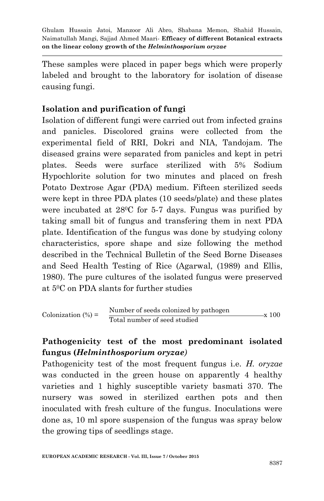These samples were placed in paper begs which were properly labeled and brought to the laboratory for isolation of disease causing fungi.

### **Isolation and purification of fungi**

Isolation of different fungi were carried out from infected grains and panicles. Discolored grains were collected from the experimental field of RRI, Dokri and NIA, Tandojam. The diseased grains were separated from panicles and kept in petri plates. Seeds were surface sterilized with 5% Sodium Hypochlorite solution for two minutes and placed on fresh Potato Dextrose Agar (PDA) medium. Fifteen sterilized seeds were kept in three PDA plates (10 seeds/plate) and these plates were incubated at 28<sup>o</sup>C for 5-7 days. Fungus was purified by taking small bit of fungus and transfering them in next PDA plate. Identification of the fungus was done by studying colony characteristics, spore shape and size following the method described in the Technical Bulletin of the Seed Borne Diseases and Seed Health Testing of Rice (Agarwal, (1989) and Ellis, 1980). The pure cultures of the isolated fungus were preserved at 50C on PDA slants for further studies

Colonization (
$$
\%
$$
) =  $\frac{\text{Number of seeds colonized by pathogen}}{\text{Total number of seed studied}} \times 100$ 

# **Pathogenicity test of the most predominant isolated fungus (***Helminthosporium oryzae)*

Pathogenicity test of the most frequent fungus i.e. *H. oryzae*  was conducted in the green house on apparently 4 healthy varieties and 1 highly susceptible variety basmati 370. The nursery was sowed in sterilized earthen pots and then inoculated with fresh culture of the fungus. Inoculations were done as, 10 ml spore suspension of the fungus was spray below the growing tips of seedlings stage.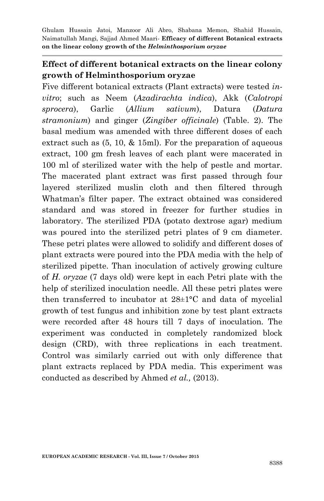### **Effect of different botanical extracts on the linear colony growth of Helminthosporium oryzae**

Five different botanical extracts (Plant extracts) were tested *invitro*; such as Neem (*Azadirachta indica*), Akk (*Calotropi sprocera*), Garlic (*Allium sativum*), Datura (*Datura stramonium*) and ginger (*Zingiber officinale*) (Table. 2). The basal medium was amended with three different doses of each extract such as  $(5, 10, \& 15 \text{ml})$ . For the preparation of aqueous extract, 100 gm fresh leaves of each plant were macerated in 100 ml of sterilized water with the help of pestle and mortar. The macerated plant extract was first passed through four layered sterilized muslin cloth and then filtered through Whatman's filter paper. The extract obtained was considered standard and was stored in freezer for further studies in laboratory. The sterilized PDA (potato dextrose agar) medium was poured into the sterilized petri plates of 9 cm diameter. These petri plates were allowed to solidify and different doses of plant extracts were poured into the PDA media with the help of sterilized pipette. Than inoculation of actively growing culture of *H. oryzae* (7 days old) were kept in each Petri plate with the help of sterilized inoculation needle. All these petri plates were then transferred to incubator at  $28\pm1\degree C$  and data of mycelial growth of test fungus and inhibition zone by test plant extracts were recorded after 48 hours till 7 days of inoculation. The experiment was conducted in completely randomized block design (CRD), with three replications in each treatment. Control was similarly carried out with only difference that plant extracts replaced by PDA media. This experiment was conducted as described by Ahmed *et al.,* (2013).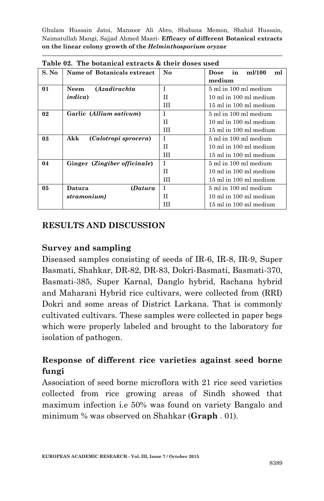| S. No | Name of Botanicals extreact  | No | in<br>ml/100<br><b>Dose</b><br>ml |
|-------|------------------------------|----|-----------------------------------|
|       |                              |    | medium                            |
| 01    | (Azadirachta<br>Neem         | T  | 5 ml in 100 ml medium             |
|       | <i>indica</i> )              | H  | 10 ml in 100 ml medium            |
|       |                              | Ш  | 15 ml in 100 ml medium            |
| 02    | Garlic (Allium sativum)      | T  | 5 ml in 100 ml medium             |
|       |                              | H  | 10 ml in 100 ml medium            |
|       |                              | Ш  | 15 ml in 100 ml medium            |
| 03    | Akk<br>(Calotropi sprocera)  | T  | 5 ml in 100 ml medium             |
|       |                              | П  | 10 ml in 100 ml medium            |
|       |                              | Ш  | 15 ml in 100 ml medium            |
| 04    | Ginger (Zingiber officinale) | T  | 5 ml in 100 ml medium             |
|       |                              | H  | 10 ml in 100 ml medium            |
|       |                              | Ш  | 15 ml in 100 ml medium            |
| 05    | Datura<br>(Datura            | T  | 5 ml in 100 ml medium             |
|       | stramonium)                  | Н  | 10 ml in 100 ml medium            |
|       |                              | Ш  | 15 ml in 100 ml medium            |

**Table 02. The botanical extracts & their doses used**

#### **RESULTS AND DISCUSSION**

#### **Survey and sampling**

Diseased samples consisting of seeds of IR-6, IR-8, IR-9, Super Basmati, Shahkar, DR-82, DR-83, Dokri-Basmati, Basmati-370, Basmati-385, Super Karnal, Danglo hybrid, Rachana hybrid and Maharani Hybrid rice cultivars, were collected from (RRI) Dokri and some areas of District Larkana. That is commonly cultivated cultivars. These samples were collected in paper begs which were properly labeled and brought to the laboratory for isolation of pathogen.

# **Response of different rice varieties against seed borne fungi**

Association of seed borne microflora with 21 rice seed varieties collected from rice growing areas of Sindh showed that maximum infection i.e 50% was found on variety Bangalo and minimum % was observed on Shahkar (**Graph** . 01).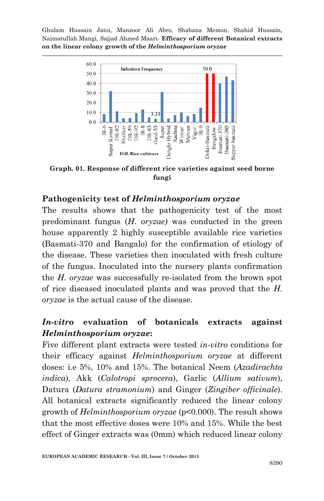

**Graph. 01. Response of different rice varieties against seed borne fungi**

#### **Pathogenicity test of** *Helminthosporium oryzae*

The results shows that the pathogenicity test of the most predominant fungus (*H. oryzae)* was conducted in the green house apparently 2 highly susceptible available rice varieties (Basmati-370 and Bangalo) for the confirmation of etiology of the disease. These varieties then inoculated with fresh culture of the fungus. Inoculated into the nursery plants confirmation the *H. oryzae* was successfully re-isolated from the brown spot of rice diseased inoculated plants and was proved that the *H. oryzae* is the actual cause of the disease.

#### *In-vitro* **evaluation of botanicals extracts against**  *Helminthosporium oryzae***:**

Five different plant extracts were tested *in-vitro* conditions for their efficacy against *Helminthosporium oryzae* at different doses: i.e 5%, 10% and 15%. The botanical Neem (*Azadirachta indica*), Akk (*Calotropi sprocera*), Garlic (*Allium sativum*), Datura (*Datura stramonium*) and Ginger (*Zingiber officinale*). All botanical extracts significantly reduced the linear colony growth of *Helminthosporium oryzae* (p<0.000). The result shows that the most effective doses were 10% and 15%. While the best effect of Ginger extracts was (0mm) which reduced linear colony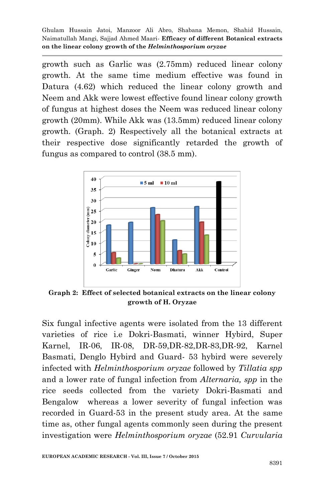growth such as Garlic was (2.75mm) reduced linear colony growth. At the same time medium effective was found in Datura (4.62) which reduced the linear colony growth and Neem and Akk were lowest effective found linear colony growth of fungus at highest doses the Neem was reduced linear colony growth (20mm). While Akk was (13.5mm) reduced linear colony growth. (Graph. 2) Respectively all the botanical extracts at their respective dose significantly retarded the growth of fungus as compared to control (38.5 mm).



**Graph 2: Effect of selected botanical extracts on the linear colony growth of H. Oryzae**

Six fungal infective agents were isolated from the 13 different varieties of rice i.e Dokri-Basmati, winner Hybird, Super Karnel, IR-06, IR-08, DR-59,DR-82,DR-83,DR-92, Karnel Basmati, Denglo Hybird and Guard- 53 hybird were severely infected with *Helminthosporium oryzae* followed by *Tillatia spp* and a lower rate of fungal infection from *Alternaria, spp* in the rice seeds collected from the variety Dokri-Basmati and Bengalow whereas a lower severity of fungal infection was recorded in Guard-53 in the present study area. At the same time as, other fungal agents commonly seen during the present investigation were *Helminthosporium oryzae* (52.91 *Curvularia*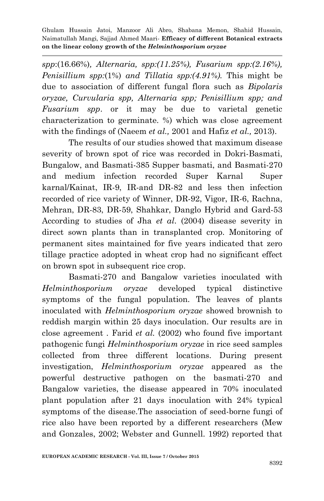*spp*:(16.66%)*, Alternaria, spp:(11.25%), Fusarium spp:(2.16%), Penisillium spp:*(1%) *and Tillatia spp:(4.91%).* This might be due to association of different fungal flora such as *Bipolaris oryzae, Curvularia spp, Alternaria spp; Penisillium spp; and Fusarium spp*. or it may be due to varietal genetic characterization to germinate. %) which was close agreement with the findings of (Naeem *et al.,* 2001 and Hafiz *et al.,* 2013).

The results of our studies showed that maximum disease severity of brown spot of rice was recorded in Dokri-Basmati, Bungalow, and Basmati-385 Supper basmati, and Basmati-270 and medium infection recorded Super Karnal Super karnal/Kainat, IR-9, IR-and DR-82 and less then infection recorded of rice variety of Winner, DR-92, Vigor, IR-6, Rachna, Mehran, DR-83, DR-59, Shahkar, Danglo Hybrid and Gard-53 According to studies of Jha *et al*. (2004) disease severity in direct sown plants than in transplanted crop. Monitoring of permanent sites maintained for five years indicated that zero tillage practice adopted in wheat crop had no significant effect on brown spot in subsequent rice crop.

Basmati-270 and Bangalow varieties inoculated with *Helminthosporium oryzae* developed typical distinctive symptoms of the fungal population. The leaves of plants inoculated with *Helminthosporium oryzae* showed brownish to reddish margin within 25 days inoculation. Our results are in close agreement . Farid *et al.* (2002) who found five important pathogenic fungi *Helminthosporium oryzae* in rice seed samples collected from three different locations. During present investigation, *Helminthosporium oryzae* appeared as the powerful destructive pathogen on the basmati-270 and Bangalow varieties, the disease appeared in 70% inoculated plant population after 21 days inoculation with 24% typical symptoms of the disease.The association of seed-borne fungi of rice also have been reported by a different researchers (Mew and Gonzales, 2002; Webster and Gunnell. 1992) reported that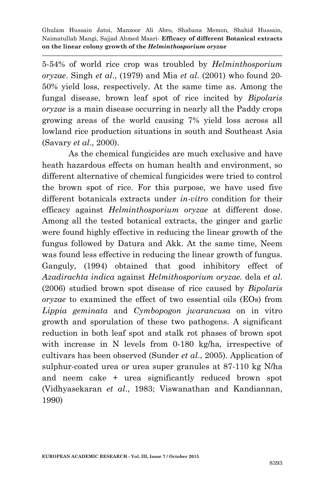5-54% of world rice crop was troubled by *Helminthosporium oryzae*. Singh *et al*., (1979) and Mia *et al*. (2001) who found 20- 50% yield loss, respectively. At the same time as. Among the fungal disease, brown leaf spot of rice incited by *Bipolaris oryzae* is a main disease occurring in nearly all the Paddy crops growing areas of the world causing 7% yield loss across all lowland rice production situations in south and Southeast Asia (Savary *et al*., 2000).

As the chemical fungicides are much exclusive and have heath hazardous effects on human health and environment, so different alternative of chemical fungicides were tried to control the brown spot of rice. For this purpose, we have used five different botanicals extracts under *in-vitro* condition for their efficacy against *Helminthosporium oryzae* at different dose. Among all the tested botanical extracts, the ginger and garlic were found highly effective in reducing the linear growth of the fungus followed by Datura and Akk. At the same time, Neem was found less effective in reducing the linear growth of fungus. Ganguly, (1994) obtained that good inhibitory effect of *Azadirachta indica* against *Helmithosporium oryzae.* dela *et al*. (2006) studied brown spot disease of rice caused by *Bipolaris oryzae* to examined the effect of two essential oils (EOs) from *Lippia geminata* and *Cymbopogon jwarancusa* on in vitro growth and sporulation of these two pathogens. A significant reduction in both leaf spot and stalk rot phases of brown spot with increase in N levels from 0-180 kg/ha, irrespective of cultivars has been observed (Sunder *et al*., 2005). Application of sulphur-coated urea or urea super granules at 87-110 kg N/ha and neem cake + urea significantly reduced brown spot (Vidhyasekaran *et al*., 1983; Viswanathan and Kandiannan, 1990)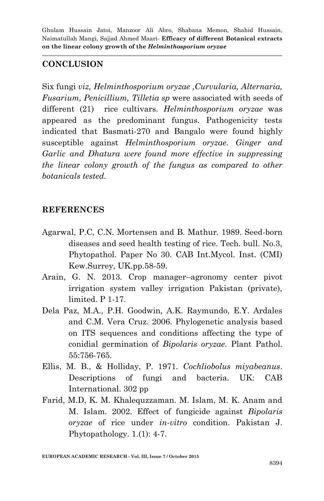## **CONCLUSION**

Six fungi *viz, Helminthosporium oryzae ,Curvularia, Alternaria, Fusarium, Penicillium, Tilletia sp* were associated with seeds of different (21) rice cultivars. *Helminthosporium oryzae* was appeared as the predominant fungus. Pathogenicity tests indicated that Basmati-270 and Bangalo were found highly susceptible against *Helminthosporium oryzae. Ginger and Garlic and Dhatura were found more effective in suppressing the linear colony growth of the fungus as compared to other botanicals tested.*

### **REFERENCES**

- Agarwal, P.C, C.N. Mortensen and B. Mathur. 1989. Seed-born diseases and seed health testing of rice. Tech. bull. No.3, Phytopathol. Paper No 30. CAB Int.Mycol. Inst. (CMI) Kew.Surrey, UK.pp.58-59.
- Arain, G. N. 2013. Crop manager–agronomy center pivot irrigation system valley irrigation Pakistan (private), limited. P 1-17.
- Dela Paz, M.A., P.H. Goodwin, A.K. Raymundo, E.Y. Ardales and C.M. Vera Cruz. 2006. Phylogenetic analysis based on ITS sequences and conditions affecting the type of conidial germination of *Bipolaris oryzae*. Plant Pathol. 55:756-765.
- Ellis, M. B., & Holliday, P. 1971*. Cochliobolus miyabeanus*. Descriptions of fungi and bacteria. UK: CAB International. 302 pp
- Farid, M.D, K. M. Khalequzzaman. M. Islam, M. K. Anam and M. Islam. 2002. Effect of fungicide against *Bipolaris oryzae* of rice under *in-vitro* condition. Pakistan J. Phytopathology. 1.(1): 4-7.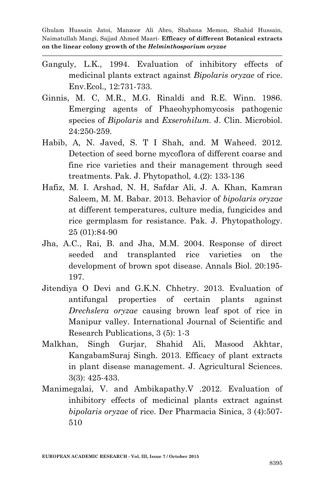- Ganguly, L.K., 1994. Evaluation of inhibitory effects of medicinal plants extract against *Bipolaris oryzae* of rice. Env.Ecol*.,* 12:731-733.
- Ginnis, M. C, M.R., M.G. Rinaldi and R.E. Winn. 1986. Emerging agents of Phaeohyphomycosis pathogenic species of *Bipolaris* and *Exserohilum.* J. Clin. Microbiol. 24:250-259.
- Habib, A, N. Javed, S. T I Shah, and. M Waheed. 2012. Detection of seed borne mycoflora of different coarse and fine rice varieties and their management through seed treatments. Pak. J. Phytopathol, 4.(2): 133-136
- Hafiz, M. I. Arshad, N. H, Safdar Ali, J. A. Khan, Kamran Saleem, M. M. Babar. 2013. Behavior of *bipolaris oryzae* at different temperatures, culture media, fungicides and rice germplasm for resistance. Pak. J. Phytopathology. 25 (01):84-90
- Jha, A.C., Rai, B. and Jha, M.M. 2004. Response of direct seeded and transplanted rice varieties on the development of brown spot disease. Annals Biol. 20:195- 197.
- Jitendiya O Devi and G.K.N. Chhetry. 2013. Evaluation of antifungal properties of certain plants against *Drechslera oryzae* causing brown leaf spot of rice in Manipur valley. International Journal of Scientific and Research Publications, 3 (5): 1-3
- Malkhan, Singh Gurjar, Shahid Ali, Masood Akhtar, KangabamSuraj Singh. 2013. Efficacy of plant extracts in plant disease management. J. Agricultural Sciences. 3(3): 425-433.
- Manimegalai, V. and Ambikapathy.V .2012. Evaluation of inhibitory effects of medicinal plants extract against *bipolaris oryzae* of rice. Der Pharmacia Sinica, 3 (4):507- 510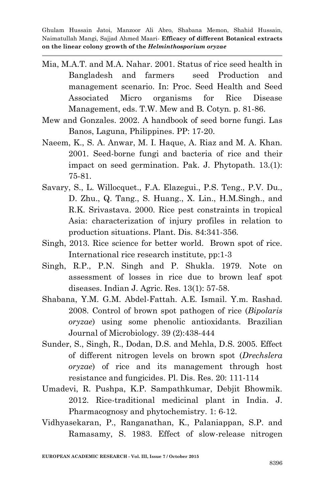- Mia, M.A.T. and M.A. Nahar. 2001. Status of rice seed health in Bangladesh and farmers seed Production and management scenario. In: Proc. Seed Health and Seed Associated Micro organisms for Rice Disease Management, eds. T.W. Mew and B. Cotyn. p. 81-86.
- Mew and Gonzales. 2002. A handbook of seed borne fungi. Las Banos, Laguna, Philippines. PP: 17-20.
- Naeem, K., S. A. Anwar, M. I. Haque, A. Riaz and M. A. Khan. 2001. Seed-borne fungi and bacteria of rice and their impact on seed germination. Pak. J. Phytopath. 13.(1): 75-81.
- Savary, S., L. Willocquet., F.A. Elazegui., P.S. Teng., P.V. Du., D. Zhu., Q. Tang., S. Huang., X. Lin., H.M.Singh., and R.K. Srivastava. 2000. Rice pest constraints in tropical Asia: characterization of injury profiles in relation to production situations. Plant. Dis*.* 84:341-356.
- Singh, 2013. Rice science for better world. Brown spot of rice. International rice research institute, pp:1-3
- Singh, R.P., P.N. Singh and P. Shukla. 1979. Note on assessment of losses in rice due to brown leaf spot diseases. Indian J. Agric. Res. 13(1): 57-58.
- Shabana, Y.M. G.M. Abdel-Fattah. A.E. Ismail. Y.m. Rashad. 2008. Control of brown spot pathogen of rice (*Bipolaris oryzae*) using some phenolic antioxidants. Brazilian Journal of Microbiology. 39 (2):438-444
- Sunder, S., Singh, R., Dodan, D.S. and Mehla, D.S. 2005. Effect of different nitrogen levels on brown spot (*Drechslera oryzae*) of rice and its management through host resistance and fungicides. Pl. Dis. Res. 20: 111-114
- Umadevi, R. Pushpa, K.P. Sampathkumar, Debjit Bhowmik. 2012. Rice-traditional medicinal plant in India. J. Pharmacognosy and phytochemistry. 1: 6-12.
- Vidhyasekaran, P., Ranganathan, K., Palaniappan, S.P. and Ramasamy, S. 1983. Effect of slow-release nitrogen